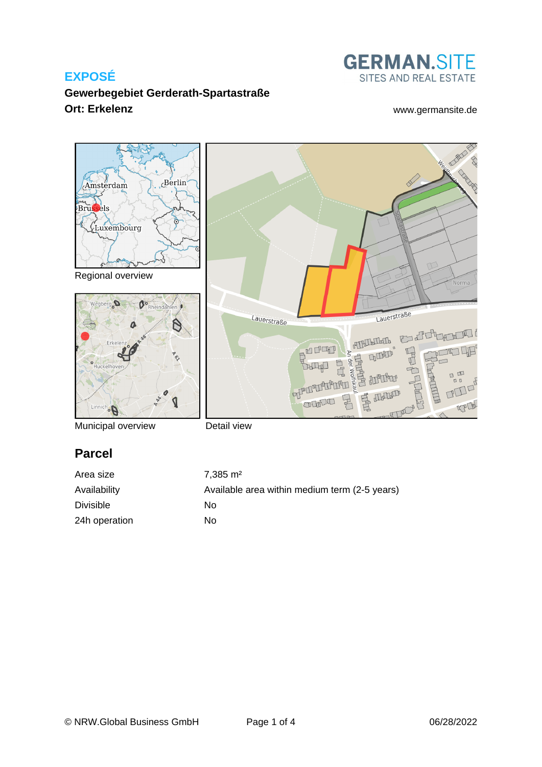

### **Gewerbegebiet Gerderath-Spartastraße Ort: Erkelenz** [www.germansite.de](http://www.germansite.de)



Municipal overview

Detail view

# **Parcel**

| Area size        | $7.385 \text{ m}^2$                           |
|------------------|-----------------------------------------------|
| Availability     | Available area within medium term (2-5 years) |
| <b>Divisible</b> | Nο                                            |
| 24h operation    | No                                            |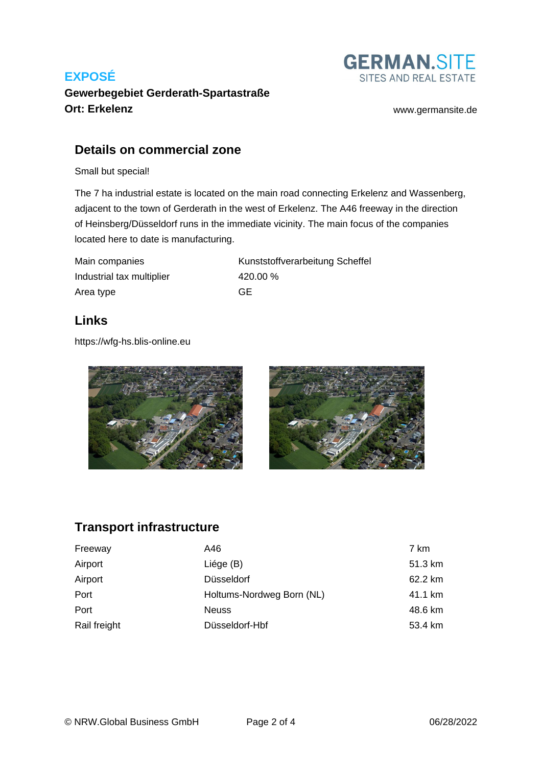

# **Gewerbegebiet Gerderath-Spartastraße Ort: Erkelenz** [www.germansite.de](http://www.germansite.de)

#### **Details on commercial zone**

Small but special!

The 7 ha industrial estate is located on the main road connecting Erkelenz and Wassenberg, adjacent to the town of Gerderath in the west of Erkelenz. The A46 freeway in the direction of Heinsberg/Düsseldorf runs in the immediate vicinity. The main focus of the companies located here to date is manufacturing.

| Main companies            | Kuı |
|---------------------------|-----|
| Industrial tax multiplier | 420 |
| Area type                 | GЕ  |

Kunststoffverarbeitung Scheffel 420.00 %

### **Links**

<https://wfg-hs.blis-online.eu>



# **Transport infrastructure**

| Freeway      | A46                       | 7 km    |
|--------------|---------------------------|---------|
| Airport      | Liége (B)                 | 51.3 km |
| Airport      | Düsseldorf                | 62.2 km |
| Port         | Holtums-Nordweg Born (NL) | 41.1 km |
| Port         | <b>Neuss</b>              | 48.6 km |
| Rail freight | Düsseldorf-Hbf            | 53.4 km |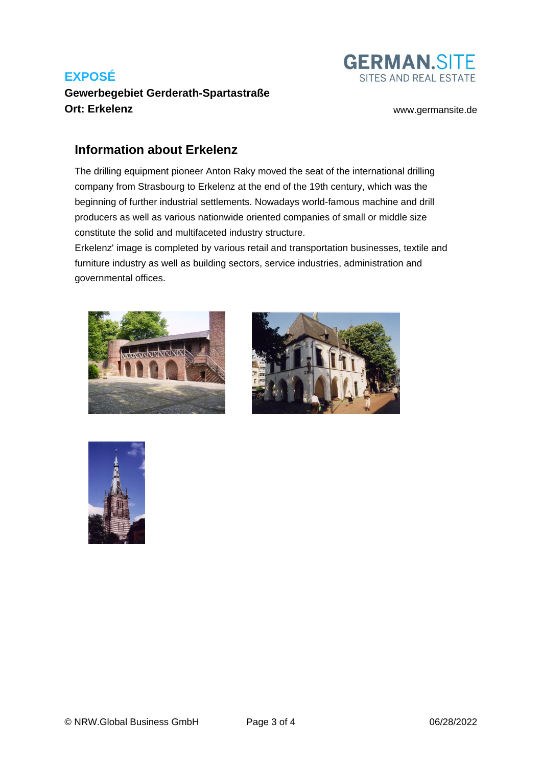# **Gewerbegebiet Gerderath-Spartastraße Ort: Erkelenz** [www.germansite.de](http://www.germansite.de)



### **Information about Erkelenz**

The drilling equipment pioneer Anton Raky moved the seat of the international drilling company from Strasbourg to Erkelenz at the end of the 19th century, which was the beginning of further industrial settlements. Nowadays world-famous machine and drill producers as well as various nationwide oriented companies of small or middle size constitute the solid and multifaceted industry structure.

Erkelenz' image is completed by various retail and transportation businesses, textile and furniture industry as well as building sectors, service industries, administration and governmental offices.